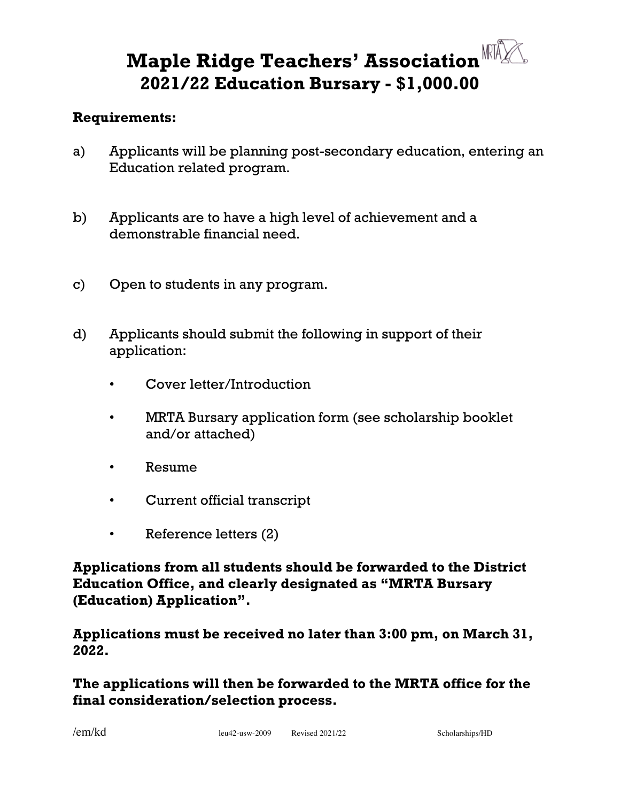## **Maple Ridge Teachers' Association 2021/22 Education Bursary - \$1,000.00**

## **Requirements:**

- a) Applicants will be planning post-secondary education, entering an Education related program.
- b) Applicants are to have a high level of achievement and a demonstrable financial need.
- c) Open to students in any program.
- d) Applicants should submit the following in support of their application:
	- Cover letter/Introduction
	- MRTA Bursary application form (see scholarship booklet and/or attached)
	- Resume
	- Current official transcript
	- Reference letters (2)

**Applications from all students should be forwarded to the District Education Office, and clearly designated as "MRTA Bursary (Education) Application".** 

**Applications must be received no later than 3:00 pm, on March 31, 2022.**

**The applications will then be forwarded to the MRTA office for the final consideration/selection process.**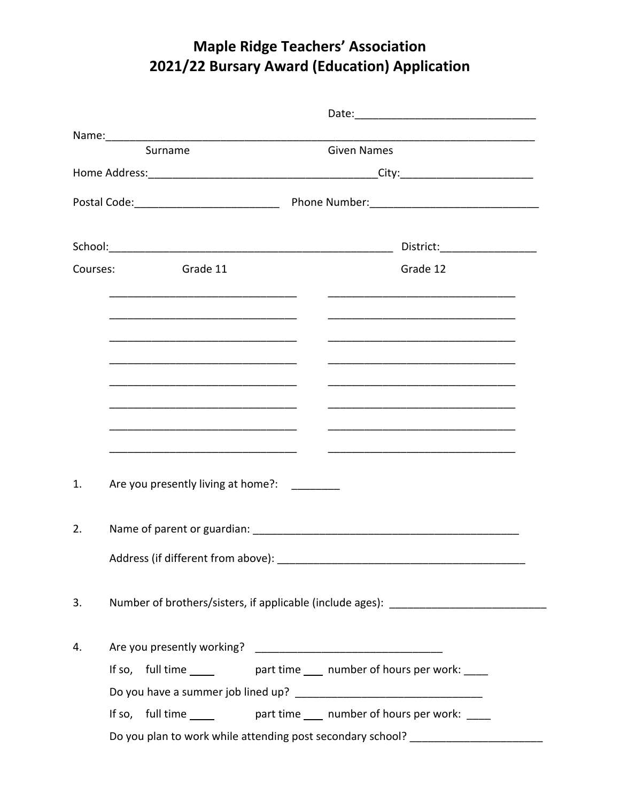## **Maple Ridge Teachers' Association** 2021/22 Bursary Award (Education) Application

| Surname                                                                                                  | <b>Given Names</b>                                                                                                   |
|----------------------------------------------------------------------------------------------------------|----------------------------------------------------------------------------------------------------------------------|
|                                                                                                          |                                                                                                                      |
|                                                                                                          |                                                                                                                      |
|                                                                                                          | District:_____________________                                                                                       |
| <b>Example 11</b> Grade 11<br>Courses:                                                                   | Grade 12                                                                                                             |
|                                                                                                          |                                                                                                                      |
| <u> 1980 - John Stein, Amerikaansk politiker († 1901)</u>                                                | <u> 1989 - Johann Barbara, martxa alemaniar argumento de la contrada de la contrada de la contrada de la contrad</u> |
|                                                                                                          |                                                                                                                      |
|                                                                                                          |                                                                                                                      |
|                                                                                                          |                                                                                                                      |
| <u> 1980 - Jan Barbara, mandalar parti da shekara 1980 - André a Santa Barbara a Tarihin a Tarihin A</u> |                                                                                                                      |
| Are you presently living at home?: ________<br>1.                                                        |                                                                                                                      |
| 2.                                                                                                       |                                                                                                                      |
| Address (if different from above):                                                                       |                                                                                                                      |
| 3.                                                                                                       | Number of brothers/sisters, if applicable (include ages): ______________________                                     |
| 4.                                                                                                       |                                                                                                                      |
|                                                                                                          | If so, full time _______ part time ____ number of hours per work: ____                                               |
|                                                                                                          |                                                                                                                      |
|                                                                                                          | If so, full time ______ part time ____ number of hours per work: ____                                                |
|                                                                                                          | Do you plan to work while attending post secondary school? _____________________                                     |